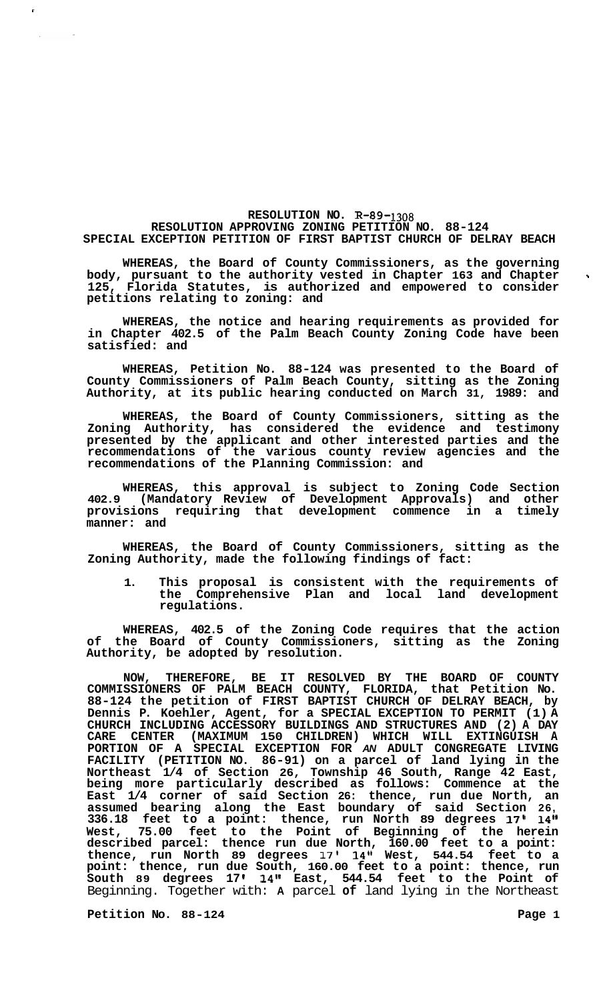## **RESOLUTION NO. R-89-1308**

## **RESOLUTION APPROVING ZONING PETITION NO. 88-124 SPECIAL EXCEPTION PETITION OF FIRST BAPTIST CHURCH OF DELRAY BEACH**

**WHEREAS, the Board of County Commissioners, as the governing body, pursuant to the authority vested in Chapter 163 and Chapter 125, Florida Statutes, is authorized and empowered to consider petitions relating to zoning: and** 

**WHEREAS, the notice and hearing requirements as provided for in Chapter 402.5 of the Palm Beach County Zoning Code have been satisfied: and** 

**WHEREAS, Petition No. 88-124 was presented to the Board of County Commissioners of Palm Beach County, sitting as the Zoning Authority, at its public hearing conducted on March 31, 1989: and** 

**WHEREAS, the Board of County Commissioners, sitting as the Zoning Authority, has considered the evidence and testimony presented by the applicant and other interested parties and the recommendations of the various county review agencies and the recommendations of the Planning Commission: and** 

**WHEREAS, this approval is subject to Zoning Code Section 402.9 (Mandatory Review of Development Approvals) and other provisions requiring that development commence in a timely manner: and** 

**WHEREAS, the Board of County Commissioners, sitting as the Zoning Authority, made the following findings of fact:** 

**1. This proposal is consistent with the requirements of the Comprehensive Plan and local land development regulations.** 

**WHEREAS, 402.5 of the Zoning Code requires that the action of the Board of County Commissioners, sitting as the Zoning Authority, be adopted by resolution.** 

**NOW, THEREFORE, BE IT RESOLVED BY THE BOARD OF COUNTY COMMISSIONERS OF PALM BEACH COUNTY, FLORIDA, that Petition No. 88-124 the petition of FIRST BAPTIST CHURCH OF DELRAY BEACH, by Dennis P. Koehler, Agent, for a SPECIAL EXCEPTION TO PERMIT (1) A CHURCH INCLUDING ACCESSORY BUILDINGS AND STRUCTURES AND (2) A DAY CARE CENTER (MAXIMUM 150 CHILDREN) WHICH WILL EXTINGUISH A PORTION OF A SPECIAL EXCEPTION FOR** *AN* **ADULT CONGREGATE LIVING FACILITY (PETITION NO. 86-91) on a parcel of land lying in the Northeast 1/4 of Section 26, Township 46 South, Range 42 East, being more particularly described as follows: Commence at the East 1/4 corner of said Section 26: thence, run due North, an assumed bearing along the East boundary of said Section 26, 336.18 feet to a point: thence, run North 89 degrees 17' 14" West, 75.00 feet to the Point of Beginning of the herein described parcel: thence run due North, 160.00 feet to a point: thence, run North 89 degrees 17l 14" West, 544.54 feet to a point: thence, run due South, 160.00 feet to a point: thence, run South 89 degrees 17 I 141t East, 544.54 feet to the Point of**  Beginning. Together with: **A** parcel **of** land lying in the Northeast

**Petition No.** 88-124 **Page 1** 

 $\sim$   $\alpha$ 

 $\mathbf{v}$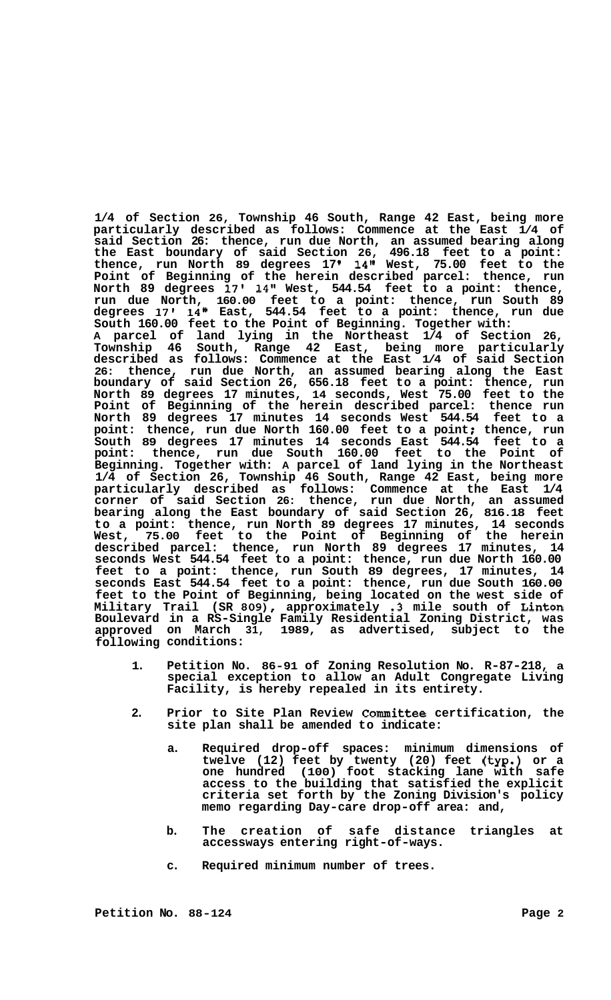**1/4 of Section 26, Township 46 South, Range 42 East, being more particularly described as follows: Commence at the East 1/4 of said Section 26: thence, run due North, an assumed bearing along the East boundary of said Section 26, 496.18 feet to a point: thence, run North 89 degrees 17 14" West, 75.00 feet to the Point of Beginning of the herein described parcel: thence, run North 89 degrees 17' 14'' West, 544.54 feet to a point: thence, run due North, 160.00 feet to a point: thence, run South 89 degrees 17' 14" East, 544.54 feet to a point: thence, run due South 160.00 feet to the Point of Beginning. Together with: A parcel of land lying in the Northeast 1/4 of Section 26, Township 46 South, Range 42 East, being more particularly described as follows: Commence at the East 1/4 of said Section 26: thence, run due North, an assumed bearing along the East boundary of said Section 26, 656.18 feet to a point: thence, run North 89 degrees 17 minutes, 14 seconds, West 75.00 feet to the Point of Beginning of the herein described parcel: thence run**  North 89 degrees 17 minutes 14 seconds West 544.54 feet to a point: thence, run due North 160.00 feet to a point; thence, run **South 89 degrees 17 minutes 14 seconds East 544.54 feet to a point: thence, run due South 160.00 feet to the Point of Beginning. Together with: A parcel of land lying in the Northeast 1/4 of Section 26, Township 46 South, Range 42 East, being more particularly described as follows: Commence at the East 1/4 corner of said Section 26: thence, run due North, an assumed bearing along the East boundary of said Section 26, 816.18 feet to a point: thence, run North 89 degrees 17 minutes, 14 seconds West, 75.00 feet to the Point of Beginning of the herein described parcel: thence, run North 89 degrees 17 minutes, 14 seconds West 544.54 feet to a point: thence, run due North 160.00 feet to a point: thence, run South 89 degrees, 17 minutes, 14 seconds East 544.54 feet to a point: thence, run due South 160.00 feet to the Point of Beginning, being located on the west side of Military Trail (SR 809), approximately .3 mile south of Linton in a RS-Single Family Residential Zoning District, was Boulevard on March 31, 1989, as advertised, subject to the approved conditions: following** 

- **1. Petition No. 86-91 of Zoning Resolution No. R-87-218, a special exception to allow an Adult Congregate Living Facility, is hereby repealed in its entirety.**
- **2. Prior to Site Plan Review Committee certification, the site plan shall be amended to indicate:** 
	- **a. Required drop-off spaces: minimum dimensions of twelve (12) feet by twenty (20) feet (typ.) or a one hundred (100) foot stacking lane with safe access to the building that satisfied the explicit criteria set forth by the Zoning Division's policy memo regarding Day-care drop-off area: and,**
	- **b. The creation of safe distance triangles at accessways entering right-of-ways.**
	- **c. Required minimum number of trees.**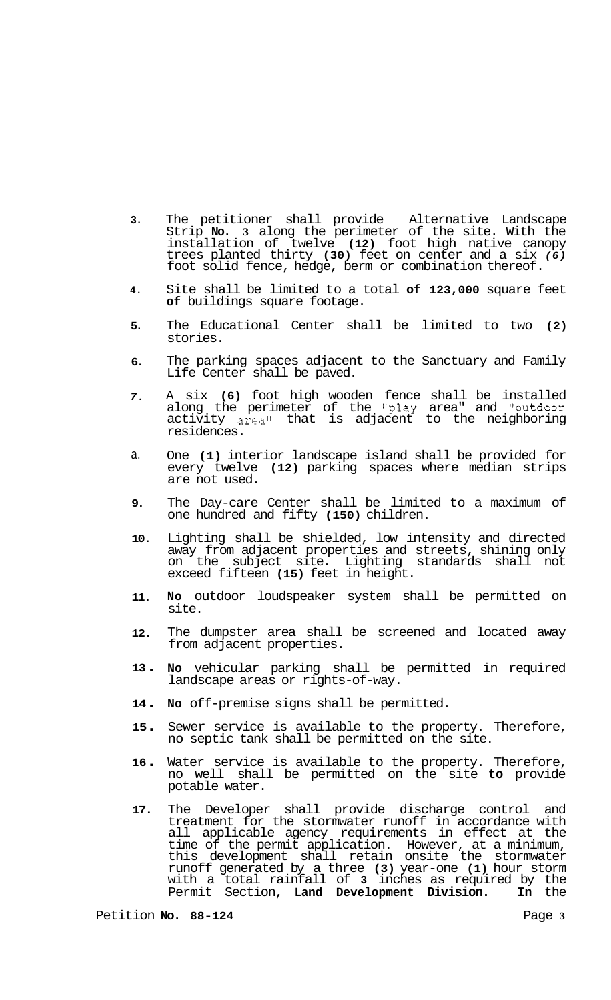- **3.**  The petitioner shall provide Alternative Landscape Strip **No. 3** along the perimeter of the site. With the installation of twelve **(12)** foot high native canopy trees planted thirty **(30)** feet on center and a six *(6)*  foot solid fence, hedge, berm or combination thereof.
- **4.**  Site shall be limited to a total **of 123,000** square feet **of** buildings square footage.
- **5.**  The Educational Center shall be limited to two **(2)**  stories.
- **6.**  The parking spaces adjacent to the Sanctuary and Family Life Center shall be paved.
- *7.*  A six **(6)** foot high wooden fence shall be installed along the perimeter of the "play area" and "outdoor activity area" that is adjacent to the neighboring residences.
- a. One **(1)** interior landscape island shall be provided for every twelve **(12)** parking spaces where median strips are not used.
- **9.**  The Day-care Center shall be limited to a maximum of one hundred and fifty **(150)** children.
- **10.**  Lighting shall be shielded, low intensity and directed away from adjacent properties and streets, shining only on the subject site. Lighting standards shall not exceed fifteen **(15)** feet in height.
- **11. NO** outdoor loudspeaker system shall be permitted on site.
- **12.**  The dumpster area shall be screened and located away from adjacent properties.
- **<sup>13</sup>**. **No** vehicular parking shall be permitted in required landscape areas or rights-of-way.
- **<sup>14</sup>**. **No** off-premise signs shall be permitted.
- **<sup>15</sup>**. Sewer service is available to the property. Therefore, no septic tank shall be permitted on the site.
- **<sup>16</sup>**. Water service is available to the property. Therefore, no well shall be permitted on the site **to** provide potable water.
- **17.**  The Developer shall provide discharge control and treatment for the stormwater runoff in accordance with all applicable agency requirements in effect at the time of the permit application. However, at a minimum, this development shall retain onsite the stormwater runoff generated by a three **(3)** year-one **(1)** hour storm with a total rainfall of **3** inches as required by the Permit Section, **Land Development Division. In** the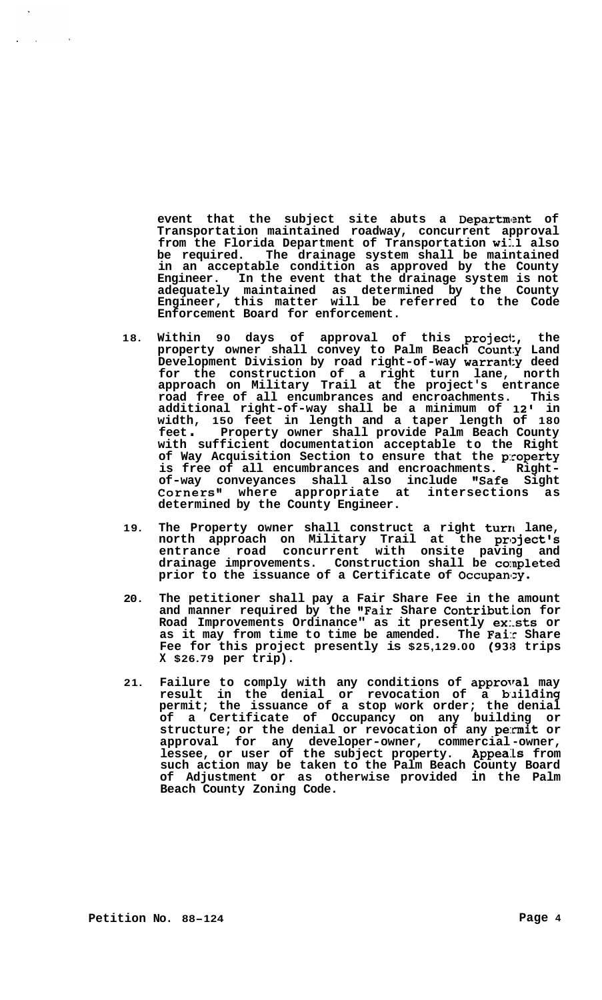event that the subject site abuts a Department of **Transportation maintained roadway, concurrent approval**  from the Florida Department of Transportation will also **be required. The drainage system shall be maintained in an acceptable condition as approved by the County Engineer. In the event that the drainage system is not adequately maintained as determined by the County Engineer, this matter will be referred to the Code Enforcement Board for enforcement.** 

- **18. Within 90 days of approval of this project, the property owner shall convey to Palm Beach County Land Development Division by road right-of-way warranty deed for the construction of a right turn lane, north approach on Military Trail at the project's entrance road free of all encumbrances and encroachments. This additional right-of-way shall be a minimum of 12' in width, 150 feet in length and a taper length of 180 feet** . **Property owner shall provide Palm Beach County with sufficient documentation acceptable to the Right of Way Acquisition Section to ensure that the property is free of all encumbrances and encroachments. Right- of-way conveyances shall also include "Safe Sight**  Corners" where appropriate at intersections as **determined by the County Engineer.**
- **19. The Property owner shall construct a right turn lane,**  north approach on Military Trail at the project's **entrance road concurrent with onsite paving and**  drainage improvements. Construction shall be completed prior to the issuance of a Certificate of Occupancy.
- **20. The petitioner shall pay a Fair Share Fee in the amount and manner required by the "Fair Share Contribut.ion for Road Improvements Ordinance" as it presently ex:.sts or as it may from time to time be amended. The Fair Share Fee for this project presently is \$25,129.00 (938 trips X \$26.79 per trip).**
- **21. Failure to comply with any conditions of approval may**  result in the denial or revocation of a building **permit; the issuance of a stop work order; the denial of a Certificate of Occupancy on any building or structure; or the denial or revocation of any permit or approval for any developer-owner, commercial -owner, lessee, or user of the subject property. Appeals from such action may be taken to the Palm Beach County Board of Adjustment or as otherwise provided in the Palm Beach County Zoning Code.**

 $\sim 10^7$ 

 $\sim 10^7$